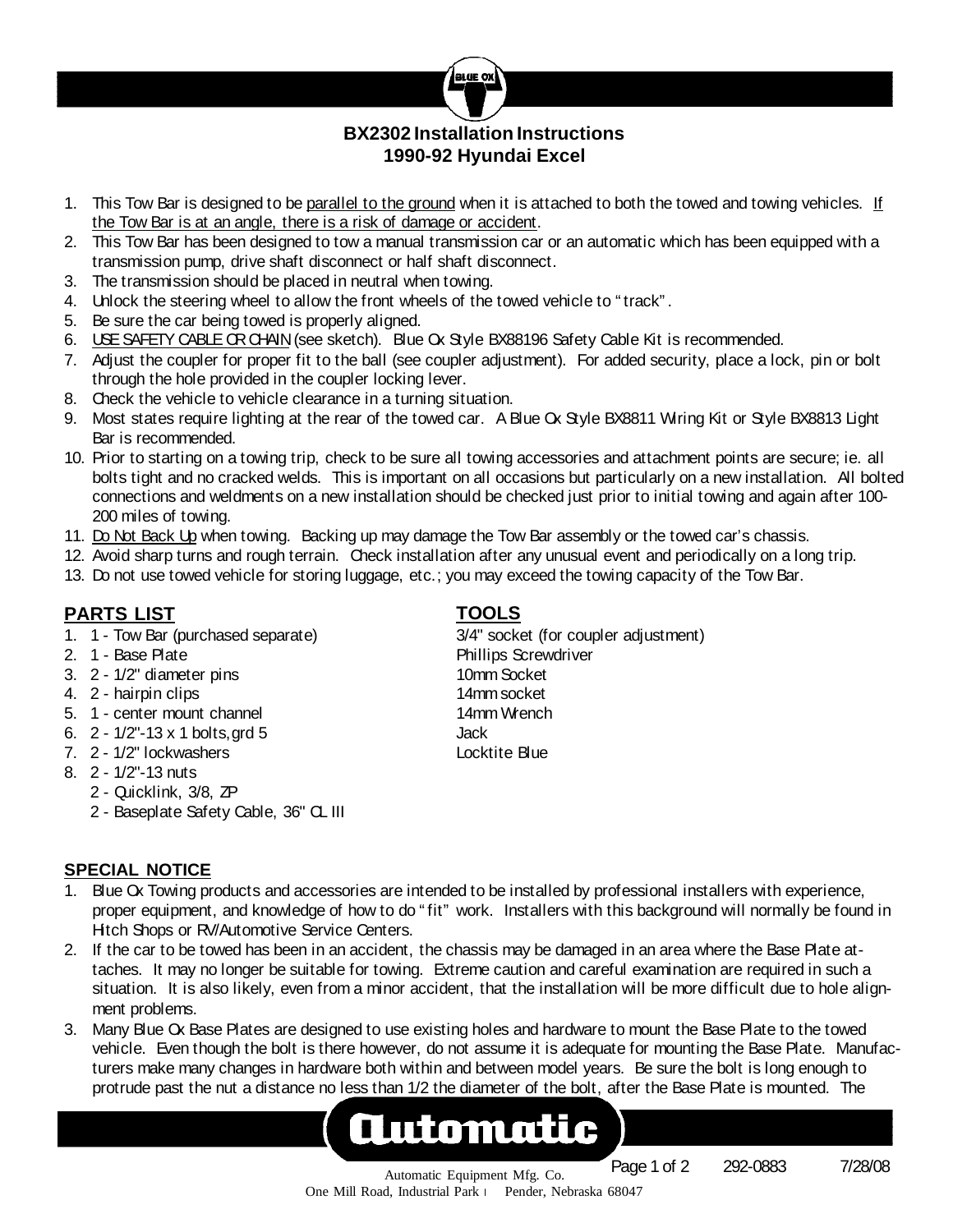

# **BX2302 Installation Instructions 1990-92 Hyundai Excel**

- 1. This Tow Bar is designed to be parallel to the ground when it is attached to both the towed and towing vehicles. If the Tow Bar is at an angle, there is a risk of damage or accident.
- 2. This Tow Bar has been designed to tow a manual transmission car or an automatic which has been equipped with a transmission pump, drive shaft disconnect or half shaft disconnect.
- 3. The transmission should be placed in neutral when towing.
- 4. Unlock the steering wheel to allow the front wheels of the towed vehicle to " track" .
- 5. Be sure the car being towed is properly aligned.
- 6. USESAFETY CABLEORCHAIN(see sketch). Blue Ox Style BX88196 Safety Cable Kit is recommended.
- 7. Adjust the coupler for proper fit to the ball (see coupler adjustment). For added security, place a lock, pin or bolt through the hole provided in the coupler locking lever.
- 8. Check the vehicle to vehicle clearance in a turning situation.
- 9. Most states require lighting at the rear of the towed car. A Blue Ox Style BX8811 Wiring Kit or Style BX8813 Light Bar is recommended.
- 10. Prior to starting on a towing trip, check to be sure all towing accessories and attachment points are secure; ie. all bolts tight and no cracked welds. This is important on all occasions but particularly on a new installation. All bolted connections and weldments on a new installation should be checked just prior to initial towing and again after 100- 200 miles of towing.
- 11. Do Not Back Up when towing. Backing up may damage the Tow Bar assembly or the towed car's chassis.
- 12. Avoid sharp turns and rough terrain. Check installation after any unusual event and periodically on a long trip.
- 13. Do not use towed vehicle for storing luggage, etc.; you may exceed the towing capacity of the Tow Bar.

# **PARTS LIST TOOLS**

- 1. 1 Tow Bar (purchased separate) 3/4" socket (for coupler adjustment)
- 
- 3. 2 1/2" diameter pins 10mm Socket
- 4. 2 hairpin clips 14mm socket
- 5. 1 center mount channel 14mm Wrench
- 6. 2 1/2"-13 x 1 bolts,grd 5 Jack
- 7. 2 1/2" lockwashers Locktite Blue
- 8. 2 1/2"-13 nuts
	- 2 Quicklink, 3/8, ZP
	- 2 Baseplate Safety Cable, 36" CL III

2. 1 - Base Plate Phillips Screwdriver

### **SPECIAL NOTICE**

- 1. Blue Ox Towing products and accessories are intended to be installed by professional installers with experience, proper equipment, and knowledge of how to do " fit" work. Installers with this background will normally be found in Hitch Shops or RV/Automotive Service Centers.
- 2. If the car to be towed has been in an accident, the chassis may be damaged in an area where the Base Plate attaches. It may no longer be suitable for towing. Extreme caution and careful examination are required in such a situation. It is also likely, even from a minor accident, that the installation will be more difficult due to hole alignment problems.
- 3. Many Blue Ox Base Plates are designed to use existing holes and hardware to mount the Base Plate to the towed vehicle. Even though the bolt is there however, do not assume it is adequate for mounting the Base Plate. Manufacturers make many changes in hardware both within and between model years. Be sure the bolt is long enough to protrude past the nut a distance no less than 1/2 the diameter of the bolt, after the Base Plate is mounted. The

# Automatic

Page 1 of 2 292-0883 7/28/08

Automatic Equipment Mfg. Co. One Mill Road, Industrial Park l Pender, Nebraska 68047